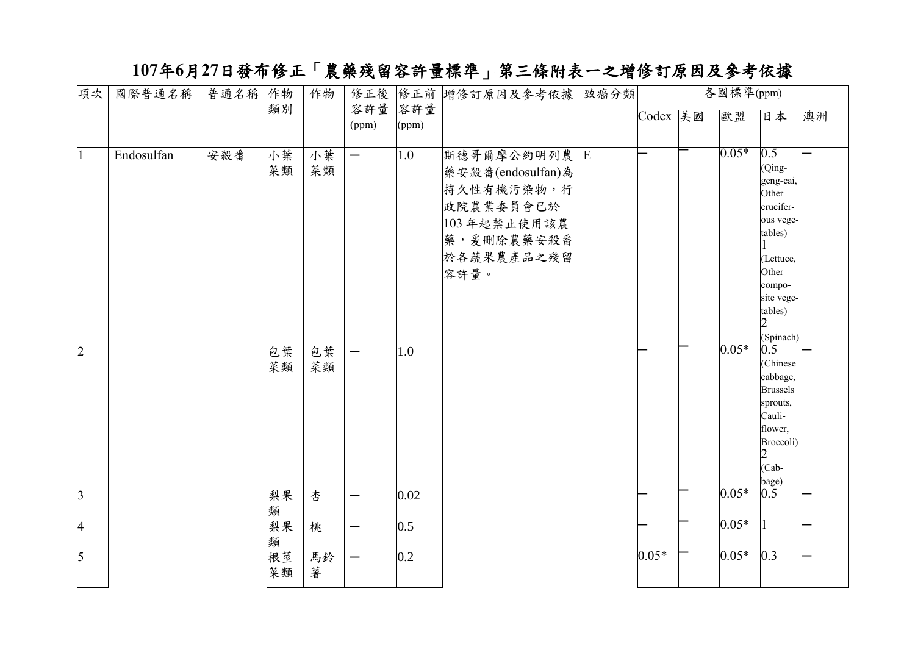## **107**年**6**月**27**日發布修正「農藥殘留容許量標準」第三條附表一之增修訂原因及參考依據

| 項次             | 國際普通名稱     | 普通名稱 | 作物       | 作物       |                          |              | 修正後 修正前 增修訂原因及參考依據 致癌分類                                                                                          | 各國標準(ppm) |  |         |                                                                                                                                                |    |
|----------------|------------|------|----------|----------|--------------------------|--------------|------------------------------------------------------------------------------------------------------------------|-----------|--|---------|------------------------------------------------------------------------------------------------------------------------------------------------|----|
|                |            |      | 類別       |          | 容許量<br>(ppm)             | 容許量<br>(ppm) |                                                                                                                  | Codex 美國  |  | 歐盟      | 日本                                                                                                                                             | 澳洲 |
|                | Endosulfan | 安殺番  | 小葉<br>菜類 | 小葉<br>菜類 | $\overline{\phantom{0}}$ | 1.0          | 斯德哥爾摩公約明列農 E<br>藥安殺番(endosulfan)為<br>持久性有機污染物,行<br>政院農業委員會已於<br>103年起禁止使用該農<br>藥, 爰刪除農藥安殺番<br>於各蔬果農產品之殘留<br>容許量。 |           |  | $0.05*$ | 0.5<br>(Qing-<br>geng-cai,<br>Other<br>crucifer-<br>ous vege-<br>tables)<br>(Lettuce,<br>Other<br>compo-<br>site vege-<br>tables)<br>(Spinach) |    |
| $\overline{2}$ |            |      | 包葉<br>菜類 | 包葉<br>菜類 | —                        | 1.0          |                                                                                                                  |           |  | $0.05*$ | 0.5<br>(Chinese<br>cabbage,<br><b>Brussels</b><br>sprouts,<br>Cauli-<br>flower,<br>Broccoli)<br>$(Cab -$<br>bage)                              |    |
| $\overline{3}$ |            |      | 梨果<br>類  | 杏        |                          | 0.02         |                                                                                                                  |           |  | $0.05*$ | 0.5                                                                                                                                            |    |
| $\overline{4}$ |            |      | 梨果<br>類  | 桃        |                          | 0.5          |                                                                                                                  |           |  | $0.05*$ |                                                                                                                                                |    |
| $\overline{5}$ |            |      | 根莖<br>菜類 | 馬鈴<br>薯  | —                        | 0.2          |                                                                                                                  | $0.05*$   |  | $0.05*$ | $\overline{0.3}$                                                                                                                               |    |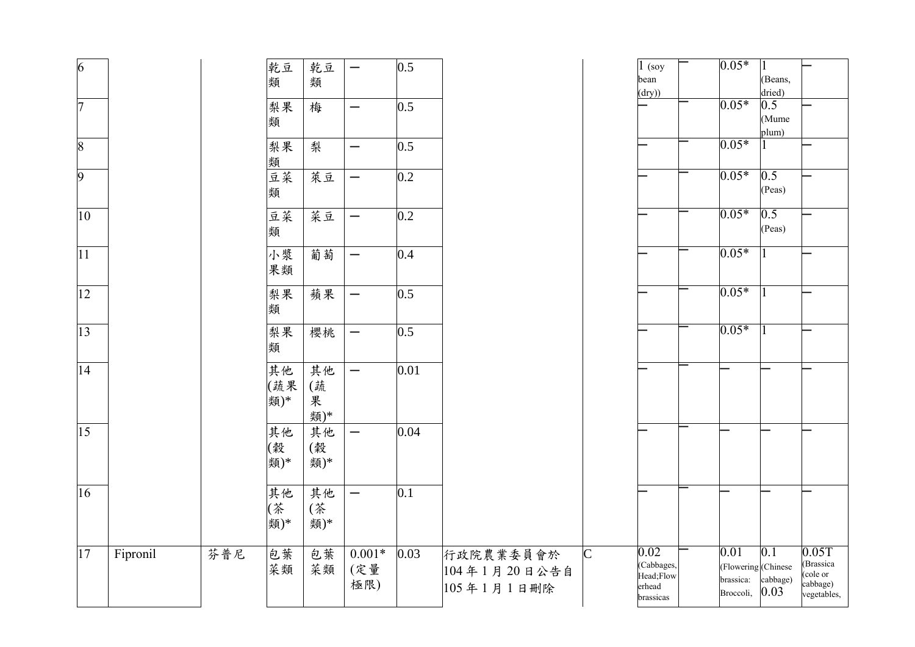| $\overline{6}$ |          |     | 乾豆<br>類          | 乾豆<br>類              | $\overline{\phantom{0}}$ | 0.5  |                                         |              | $1$ (soy<br>bean<br>(dry))                             | $0.05*$                                               | (Beans,<br>dried)                    |                                                                       |
|----------------|----------|-----|------------------|----------------------|--------------------------|------|-----------------------------------------|--------------|--------------------------------------------------------|-------------------------------------------------------|--------------------------------------|-----------------------------------------------------------------------|
| $\overline{7}$ |          |     | 梨果<br>類          | 梅                    | —                        | 0.5  |                                         |              |                                                        | $0.05*$                                               | 0.5<br>(Mume<br>plum)                |                                                                       |
| $\overline{8}$ |          |     | 梨果<br>類          | 梨                    | —                        | 0.5  |                                         |              |                                                        | $0.05*$                                               |                                      |                                                                       |
| $\overline{9}$ |          |     | 豆菜<br>類          | 萊豆                   | $\overline{\phantom{0}}$ | 0.2  |                                         |              |                                                        | $0.05*$                                               | 0.5<br>(Peas)                        |                                                                       |
| $ 10\rangle$   |          |     | 豆菜<br>類          | 菜豆                   | $\overline{\phantom{0}}$ | 0.2  |                                         |              |                                                        | $0.05*$                                               | 0.5<br>(Peas)                        |                                                                       |
| 11             |          |     | 小漿<br>果類         | 葡萄                   | $\overline{\phantom{0}}$ | 0.4  |                                         |              |                                                        | $0.05*$                                               |                                      |                                                                       |
| 12             |          |     | 梨果<br>類          | 蘋果                   | $\overline{\phantom{0}}$ | 0.5  |                                         |              |                                                        | $0.05*$                                               |                                      |                                                                       |
| 13             |          |     | 梨果<br>類          | 櫻桃                   | —                        | 0.5  |                                         |              |                                                        | $0.05*$                                               |                                      |                                                                       |
| 14             |          |     | 其他<br>(蔬果<br>類)* | 其他<br>(蔬<br>果<br>類)* | $\overline{\phantom{0}}$ | 0.01 |                                         |              |                                                        |                                                       |                                      |                                                                       |
| 15             |          |     | 其他<br>(穀<br>類)*  | 其他<br>(穀<br>類)*      | $\overline{\phantom{0}}$ | 0.04 |                                         |              |                                                        |                                                       |                                      |                                                                       |
| 16             |          |     | 其他<br>(茶<br>類)*  | 其他<br>(茶<br>類)*      | —                        | 0.1  |                                         |              |                                                        |                                                       |                                      |                                                                       |
| 17             | Fipronil | 芬普尼 | 包葉<br>菜類         | 包葉<br>菜類             | $0.001*$<br>(定量<br>極限)   | 0.03 | 行政院農業委員會於<br>104年1月20日公告自<br>105年1月1日刪除 | $\mathsf{C}$ | 0.02<br>(Cabbages,<br>Head;Flow<br>erhead<br>brassicas | 0.01<br>(Flowering (Chinese<br>brassica:<br>Broccoli, | $\overline{0.1}$<br>cabbage)<br>0.03 | 0.05T<br>(Brassica<br>(cole or<br>(cole or<br>cabbage)<br>vegetables, |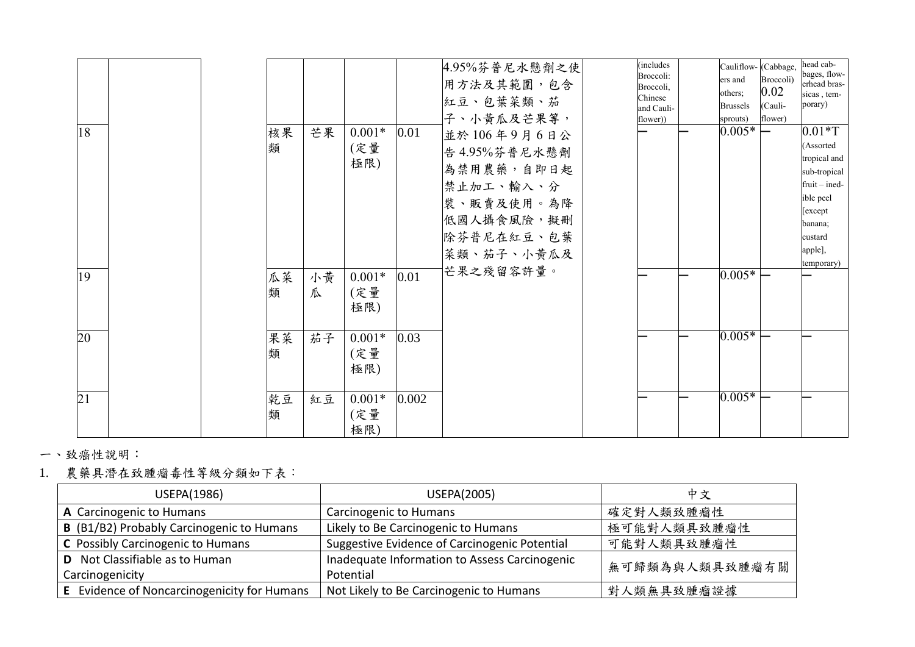| 18              |  | 核果<br>類 | 芒果      | $0.001*$<br>(定量<br>極限) | $0.01\,$ | 4.95%芬普尼水懸劑之使<br>用方法及其範圍,包含<br>紅豆、包葉菜類、茄<br>子、小黄瓜及芒果等,<br>並於106年9月6日公<br>告 4.95%芬普尼水懸劑<br>為禁用農藥,自即日起<br>禁止加工、輸入、分<br>裝、販賣及使用。為降<br>低國人攝食風險,擬刪<br>除芬普尼在紅豆、包葉<br>菜類、茄子、小黄瓜及 | <i>(includes)</i><br>Broccoli:<br>Broccoli,<br>Chinese<br>and Cauli-<br>flower)) | Cauliflow- (Cabbage,<br>ers and<br>others;<br><b>Brussels</b><br>sprouts)<br>$0.005*$ | Broccoli)<br>0.02<br>(Cauli-<br>flower) | head cab-<br>bages, flow-<br>erhead bras-<br>sicas, tem-<br>porary)<br>$0.01*T$<br>(Assorted<br>tropical and<br>sub-tropical<br>$fruit - ined -$<br>ible peel<br>[except]<br>banana;<br>custard<br>apple],<br>temporary) |
|-----------------|--|---------|---------|------------------------|----------|---------------------------------------------------------------------------------------------------------------------------------------------------------------------------|----------------------------------------------------------------------------------|---------------------------------------------------------------------------------------|-----------------------------------------|--------------------------------------------------------------------------------------------------------------------------------------------------------------------------------------------------------------------------|
| 19              |  | 瓜菜<br>類 | 小黄<br>瓜 | $0.001*$<br>(定量<br>極限) | 0.01     | 芒果之殘留容許量。                                                                                                                                                                 |                                                                                  | $0.005*$                                                                              |                                         |                                                                                                                                                                                                                          |
| 20              |  | 果菜<br>類 | 茄子      | $0.001*$<br>(定量<br>極限) | 0.03     |                                                                                                                                                                           |                                                                                  | $0.005*$                                                                              |                                         |                                                                                                                                                                                                                          |
| $\overline{21}$ |  | 乾豆<br>類 | 紅豆      | $0.001*$<br>(定量<br>極限) | 0.002    |                                                                                                                                                                           |                                                                                  | $0.005*$                                                                              |                                         |                                                                                                                                                                                                                          |

一、致癌性說明:

1. 農藥具潛在致腫瘤毒性等級分類如下表:

| USEPA(1986)                                      | USEPA(2005)                                   | 中文             |
|--------------------------------------------------|-----------------------------------------------|----------------|
| A Carcinogenic to Humans                         | <b>Carcinogenic to Humans</b>                 | 確定對人類致腫瘤性      |
| <b>B</b> (B1/B2) Probably Carcinogenic to Humans | Likely to Be Carcinogenic to Humans           | 極可能對人類具致腫瘤性    |
| C Possibly Carcinogenic to Humans                | Suggestive Evidence of Carcinogenic Potential | 可能對人類具致腫瘤性     |
| <b>D</b> Not Classifiable as to Human            | Inadequate Information to Assess Carcinogenic | 無可歸類為與人類具致腫瘤有關 |
| Carcinogenicity                                  | Potential                                     |                |
| E Evidence of Noncarcinogenicity for Humans      | Not Likely to Be Carcinogenic to Humans       | 對人類無具致腫瘤證據     |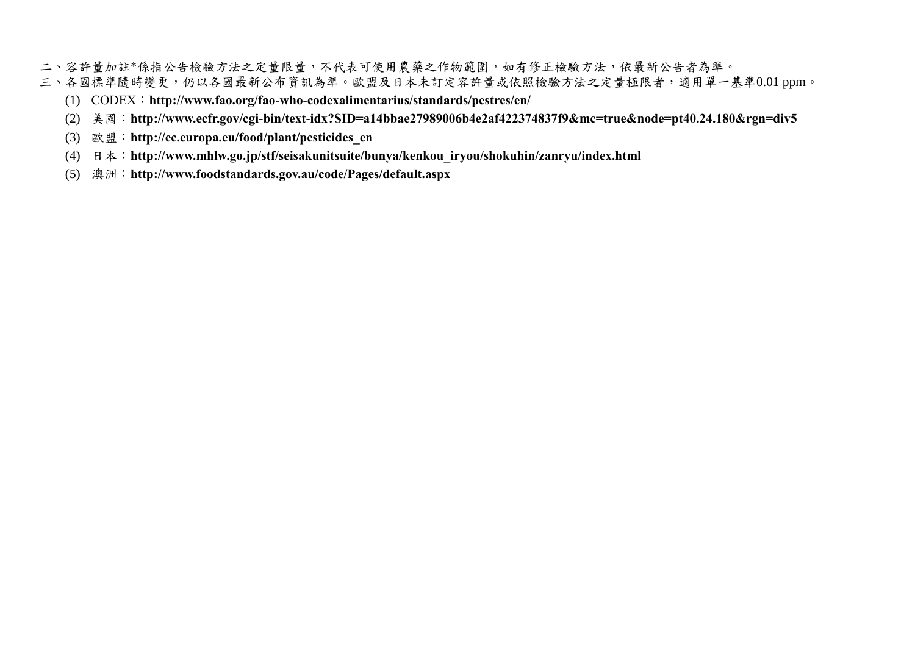- 二、容許量加註\*係指公告檢驗方法之定量限量,不代表可使用農藥之作物範圍,如有修正檢驗方法,依最新公告者為準。
- 三、各國標準隨時變更,仍以各國最新公布資訊為準。歐盟及日本未訂定容許量或依照檢驗方法之定量極限者,適用單一基準0.01 ppm。
	- (1) CODEX:**<http://www.fao.org/fao-who-codexalimentarius/standards/pestres/en/>**
	- (2) 美國:**<http://www.ecfr.gov/cgi-bin/text-idx?SID=a14bbae27989006b4e2af422374837f9&mc=true&node=pt40.24.180&rgn=div5>**
	- (3) 歐盟:**[http://ec.europa.eu/food/plant/pesticides\\_en](http://ec.europa.eu/food/plant/pesticides_en)**
	- (4) 日本:**[http://www.mhlw.go.jp/stf/seisakunitsuite/bunya/kenkou\\_iryou/shokuhin/zanryu/index.html](http://www.mhlw.go.jp/stf/seisakunitsuite/bunya/kenkou_iryou/shokuhin/zanryu/index.html)**
	- (5) 澳洲:**<http://www.foodstandards.gov.au/code/Pages/default.aspx>**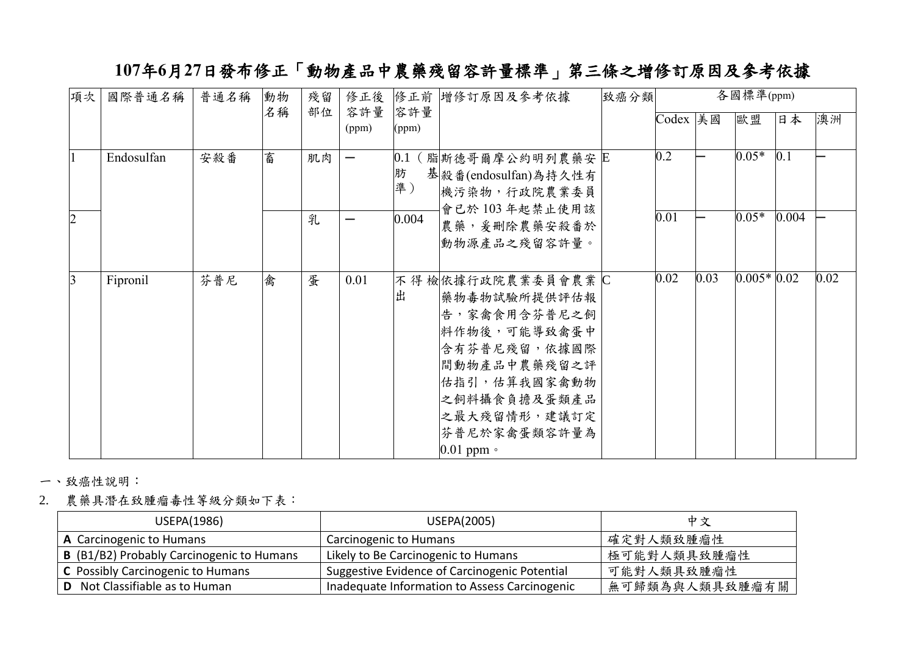## **107**年**6**月**27**日發布修正「動物產品中農藥殘留容許量標準」第三條之增修訂原因及參考依據

| 項次             | 國際普通名稱     | 普通名稱 | 動物 | 殘留 | 修正後          |              | 修正前 增修訂原因及參考依據                                                                                                                                                                            | 致癌分類 |                   |      | 各國標準(ppm)    |       |      |
|----------------|------------|------|----|----|--------------|--------------|-------------------------------------------------------------------------------------------------------------------------------------------------------------------------------------------|------|-------------------|------|--------------|-------|------|
|                |            |      | 名稱 | 部位 | 容許量<br>(ppm) | 容許量<br>(ppm) |                                                                                                                                                                                           |      | Codex 美國          |      | 歐盟           | 日本    | 澳洲   |
|                | Endosulfan | 安殺番  | 畜  | 肌肉 | —            | 肪<br>準)      | 0.1 (脂断德哥爾摩公約明列農藥安 E<br>基 殺 番 (endosulfan)為持久性有<br>機污染物,行政院農業委員<br>會已於103年起禁止使用該                                                                                                          |      | $\overline{0.2}$  |      | $0.05*$      | 0.1   |      |
| $\overline{2}$ |            |      |    | 乳  |              | 0.004        | 農藥, 爰刪除農藥安殺番於<br>動物源產品之殘留容許量。                                                                                                                                                             |      | $\overline{0.01}$ |      | $0.05*$      | 0.004 |      |
| 3              | Fipronil   | 芬普尼  | 禽  | 蛋  | 0.01         | l出           | 不得檢依據行政院農業委員會農業IC<br> 藥物毒物試驗所提供評估報<br> 告,家禽食用含芬普尼之飼<br>料作物後,可能導致禽蛋中<br>含有芬普尼殘留,依據國際<br>間動物產品中農藥殘留之評<br>估指引,估算我國家禽動物<br>之飼料攝食負擔及蛋類產品<br>之最大殘留情形,建議訂定<br>芬普尼於家禽蛋類容許量為<br>$0.01$ ppm $\circ$ |      | 0.02              | 0.03 | $0.005*0.02$ |       | 0.02 |

一、致癌性說明:

2. 農藥具潛在致腫瘤毒性等級分類如下表:

| USEPA(1986)                                      | USEPA(2005)                                   | 中文             |
|--------------------------------------------------|-----------------------------------------------|----------------|
| A Carcinogenic to Humans                         | Carcinogenic to Humans                        | 確定對人類致腫瘤性      |
| <b>B</b> (B1/B2) Probably Carcinogenic to Humans | Likely to Be Carcinogenic to Humans           | 極可能對人類具致腫瘤性    |
| C Possibly Carcinogenic to Humans                | Suggestive Evidence of Carcinogenic Potential | 可能對人類具致腫瘤性     |
| <b>D</b> Not Classifiable as to Human            | Inadequate Information to Assess Carcinogenic | 無可歸類為與人類具致腫瘤有關 |